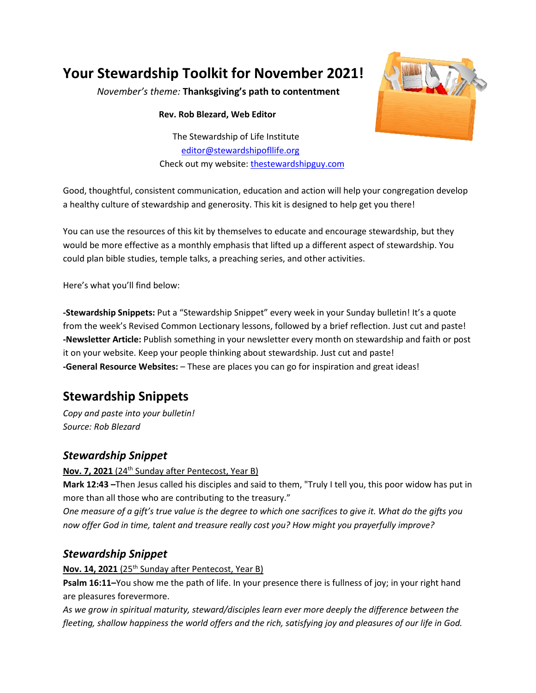# **Your Stewardship Toolkit for November 2021!**

*November's theme:* **Thanksgiving's path to contentment**

**Rev. Rob Blezard, Web Editor**

The Stewardship of Life Institute [editor@stewardshipofllife.org](mailto:editor@stewardshipofllife.org) Check out my website: [thestewardshipguy.com](https://www.thestewardshipguy.com/)



Good, thoughtful, consistent communication, education and action will help your congregation develop a healthy culture of stewardship and generosity. This kit is designed to help get you there!

You can use the resources of this kit by themselves to educate and encourage stewardship, but they would be more effective as a monthly emphasis that lifted up a different aspect of stewardship. You could plan bible studies, temple talks, a preaching series, and other activities.

Here's what you'll find below:

**-Stewardship Snippets:** Put a "Stewardship Snippet" every week in your Sunday bulletin! It's a quote from the week's Revised Common Lectionary lessons, followed by a brief reflection. Just cut and paste! **-Newsletter Article:** Publish something in your newsletter every month on stewardship and faith or post it on your website. Keep your people thinking about stewardship. Just cut and paste! **-General Resource Websites:** – These are places you can go for inspiration and great ideas!

## **Stewardship Snippets**

*Copy and paste into your bulletin! Source: Rob Blezard*

#### *Stewardship Snippet*

Nov. 7, 2021 (24<sup>th</sup> Sunday after Pentecost, Year B)

**Mark 12:43 –**Then Jesus called his disciples and said to them, "Truly I tell you, this poor widow has put in more than all those who are contributing to the treasury."

*One measure of a gift's true value is the degree to which one sacrifices to give it. What do the gifts you now offer God in time, talent and treasure really cost you? How might you prayerfully improve?*

### *Stewardship Snippet*

#### **Nov. 14, 2021** (25th Sunday after Pentecost, Year B)

**Psalm 16:11–**You show me the path of life. In your presence there is fullness of joy; in your right hand are pleasures forevermore.

*As we grow in spiritual maturity, steward/disciples learn ever more deeply the difference between the fleeting, shallow happiness the world offers and the rich, satisfying joy and pleasures of our life in God.*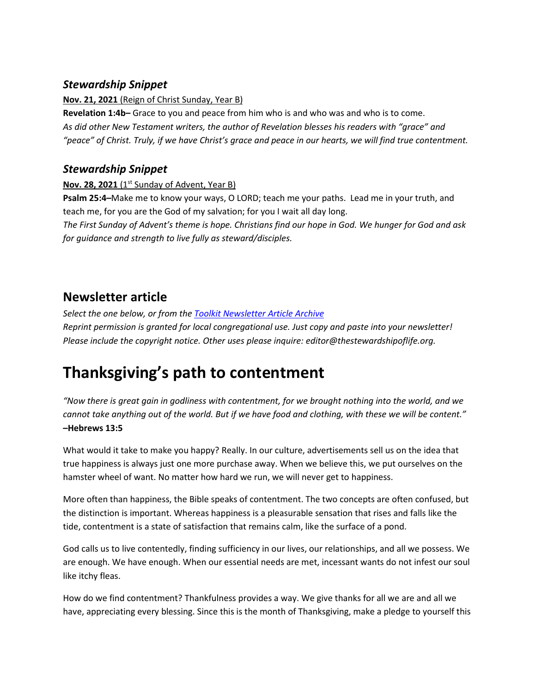#### *Stewardship Snippet*

**Nov. 21, 2021** (Reign of Christ Sunday, Year B)

**Revelation 1:4b–** Grace to you and peace from him who is and who was and who is to come. *As did other New Testament writers, the author of Revelation blesses his readers with "grace" and "peace" of Christ. Truly, if we have Christ's grace and peace in our hearts, we will find true contentment.*

#### *Stewardship Snippet*

**Nov. 28, 2021** (1<sup>st</sup> Sunday of Advent, Year B)

**Psalm 25:4–**Make me to know your ways, O LORD; teach me your paths. Lead me in your truth, and teach me, for you are the God of my salvation; for you I wait all day long. *The First Sunday of Advent's theme is hope. Christians find our hope in God. We hunger for God and ask* 

*for guidance and strength to live fully as steward/disciples.*

### **Newsletter article**

*Select the one below, or from the [Toolkit Newsletter Article Archive](https://www.lss-elca.org/toolkit-newsletter-archive/) Reprint permission is granted for local congregational use. Just copy and paste into your newsletter! Please include the copyright notice. Other uses please inquire: editor@thestewardshipoflife.org.*

# **Thanksgiving's path to contentment**

*"Now there is great gain in godliness with contentment, for we brought nothing into the world, and we cannot take anything out of the world. But if we have food and clothing, with these we will be content."* **–Hebrews 13:5**

What would it take to make you happy? Really. In our culture, advertisements sell us on the idea that true happiness is always just one more purchase away. When we believe this, we put ourselves on the hamster wheel of want. No matter how hard we run, we will never get to happiness.

More often than happiness, the Bible speaks of contentment. The two concepts are often confused, but the distinction is important. Whereas happiness is a pleasurable sensation that rises and falls like the tide, contentment is a state of satisfaction that remains calm, like the surface of a pond.

God calls us to live contentedly, finding sufficiency in our lives, our relationships, and all we possess. We are enough. We have enough. When our essential needs are met, incessant wants do not infest our soul like itchy fleas.

How do we find contentment? Thankfulness provides a way. We give thanks for all we are and all we have, appreciating every blessing. Since this is the month of Thanksgiving, make a pledge to yourself this